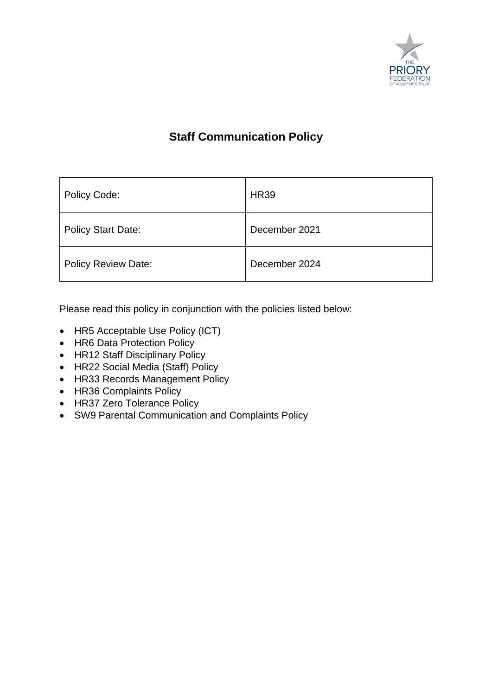

## **Staff Communication Policy**

| Policy Code:               | <b>HR39</b>   |
|----------------------------|---------------|
| <b>Policy Start Date:</b>  | December 2021 |
| <b>Policy Review Date:</b> | December 2024 |

Please read this policy in conjunction with the policies listed below:

- HR5 Acceptable Use Policy (ICT)
- HR6 Data Protection Policy
- HR12 Staff Disciplinary Policy
- HR22 Social Media (Staff) Policy
- HR33 Records Management Policy
- HR36 Complaints Policy
- HR37 Zero Tolerance Policy
- SW9 Parental Communication and Complaints Policy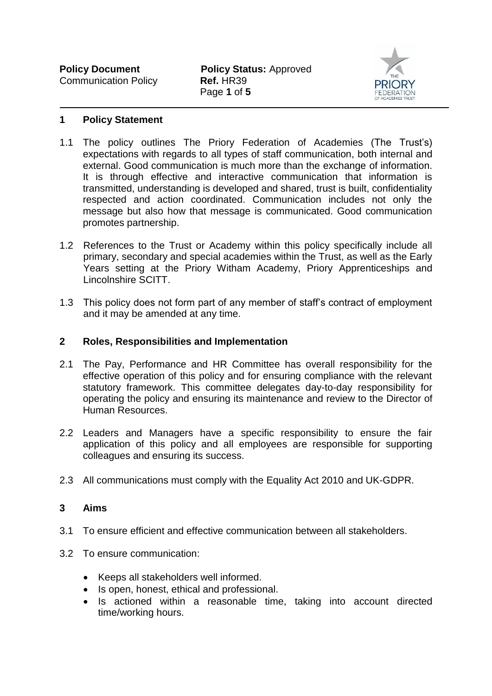

#### **1 Policy Statement**

- 1.1 The policy outlines The Priory Federation of Academies (The Trust's) expectations with regards to all types of staff communication, both internal and external. Good communication is much more than the exchange of information. It is through effective and interactive communication that information is transmitted, understanding is developed and shared, trust is built, confidentiality respected and action coordinated. Communication includes not only the message but also how that message is communicated. Good communication promotes partnership.
- 1.2 References to the Trust or Academy within this policy specifically include all primary, secondary and special academies within the Trust, as well as the Early Years setting at the Priory Witham Academy, Priory Apprenticeships and Lincolnshire SCITT.
- 1.3 This policy does not form part of any member of staff's contract of employment and it may be amended at any time.

#### **2 Roles, Responsibilities and Implementation**

- 2.1 The Pay, Performance and HR Committee has overall responsibility for the effective operation of this policy and for ensuring compliance with the relevant statutory framework. This committee delegates day-to-day responsibility for operating the policy and ensuring its maintenance and review to the Director of Human Resources.
- 2.2 Leaders and Managers have a specific responsibility to ensure the fair application of this policy and all employees are responsible for supporting colleagues and ensuring its success.
- 2.3 All communications must comply with the Equality Act 2010 and UK-GDPR.

#### **3 Aims**

- 3.1 To ensure efficient and effective communication between all stakeholders.
- 3.2 To ensure communication:
	- Keeps all stakeholders well informed.
	- Is open, honest, ethical and professional.
	- Is actioned within a reasonable time, taking into account directed time/working hours.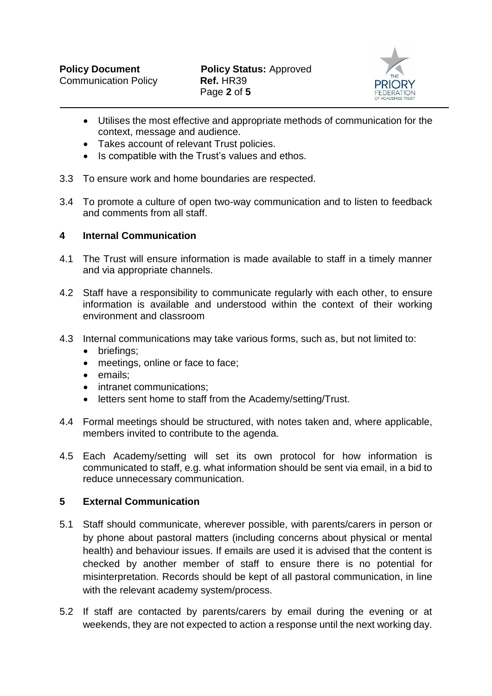

- Utilises the most effective and appropriate methods of communication for the context, message and audience.
- Takes account of relevant Trust policies.
- Is compatible with the Trust's values and ethos.
- 3.3 To ensure work and home boundaries are respected.
- 3.4 To promote a culture of open two-way communication and to listen to feedback and comments from all staff.

## **4 Internal Communication**

- 4.1 The Trust will ensure information is made available to staff in a timely manner and via appropriate channels.
- 4.2 Staff have a responsibility to communicate regularly with each other, to ensure information is available and understood within the context of their working environment and classroom
- 4.3 Internal communications may take various forms, such as, but not limited to:
	- briefings;
	- meetings, online or face to face;
	- emails:
	- intranet communications:
	- letters sent home to staff from the Academy/setting/Trust.
- 4.4 Formal meetings should be structured, with notes taken and, where applicable, members invited to contribute to the agenda.
- 4.5 Each Academy/setting will set its own protocol for how information is communicated to staff, e.g. what information should be sent via email, in a bid to reduce unnecessary communication.

### **5 External Communication**

- 5.1 Staff should communicate, wherever possible, with parents/carers in person or by phone about pastoral matters (including concerns about physical or mental health) and behaviour issues. If emails are used it is advised that the content is checked by another member of staff to ensure there is no potential for misinterpretation. Records should be kept of all pastoral communication, in line with the relevant academy system/process.
- 5.2 If staff are contacted by parents/carers by email during the evening or at weekends, they are not expected to action a response until the next working day.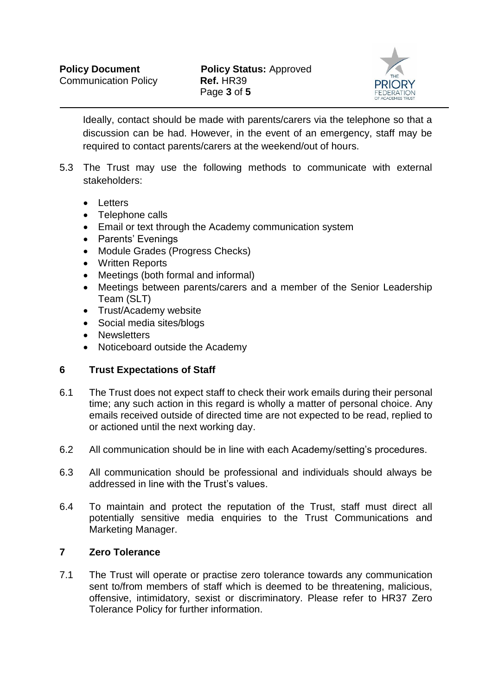

Ideally, contact should be made with parents/carers via the telephone so that a discussion can be had. However, in the event of an emergency, staff may be required to contact parents/carers at the weekend/out of hours.

- 5.3 The Trust may use the following methods to communicate with external stakeholders:
	- **•** Letters
	- Telephone calls
	- Email or text through the Academy communication system
	- Parents' Evenings
	- Module Grades (Progress Checks)
	- Written Reports
	- Meetings (both formal and informal)
	- Meetings between parents/carers and a member of the Senior Leadership Team (SLT)
	- Trust/Academy website
	- Social media sites/blogs
	- Newsletters
	- Noticeboard outside the Academy

## **6 Trust Expectations of Staff**

- 6.1 The Trust does not expect staff to check their work emails during their personal time; any such action in this regard is wholly a matter of personal choice. Any emails received outside of directed time are not expected to be read, replied to or actioned until the next working day.
- 6.2 All communication should be in line with each Academy/setting's procedures.
- 6.3 All communication should be professional and individuals should always be addressed in line with the Trust's values.
- 6.4 To maintain and protect the reputation of the Trust, staff must direct all potentially sensitive media enquiries to the Trust Communications and Marketing Manager.

## **7 Zero Tolerance**

7.1 The Trust will operate or practise zero tolerance towards any communication sent to/from members of staff which is deemed to be threatening, malicious, offensive, intimidatory, sexist or discriminatory. Please refer to HR37 Zero Tolerance Policy for further information.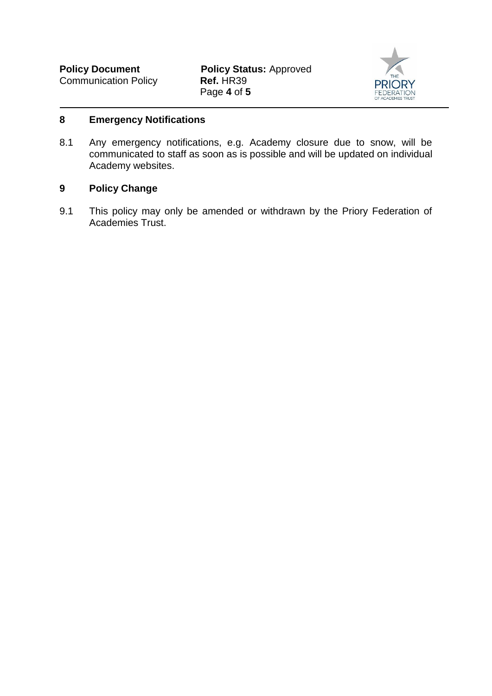

#### **8 Emergency Notifications**

8.1 Any emergency notifications, e.g. Academy closure due to snow, will be communicated to staff as soon as is possible and will be updated on individual Academy websites.

## **9 Policy Change**

9.1 This policy may only be amended or withdrawn by the Priory Federation of Academies Trust.